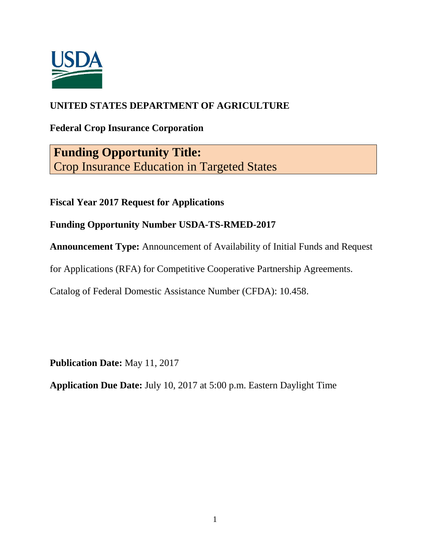

# **UNITED STATES DEPARTMENT OF AGRICULTURE**

**Federal Crop Insurance Corporation**

**Funding Opportunity Title:** Crop Insurance Education in Targeted States

**Fiscal Year 2017 Request for Applications**

**Funding Opportunity Number USDA-TS-RMED-2017**

**Announcement Type:** Announcement of Availability of Initial Funds and Request

for Applications (RFA) for Competitive Cooperative Partnership Agreements.

Catalog of Federal Domestic Assistance Number (CFDA): 10.458.

**Publication Date:** May 11, 2017

**Application Due Date:** July 10, 2017 at 5:00 p.m. Eastern Daylight Time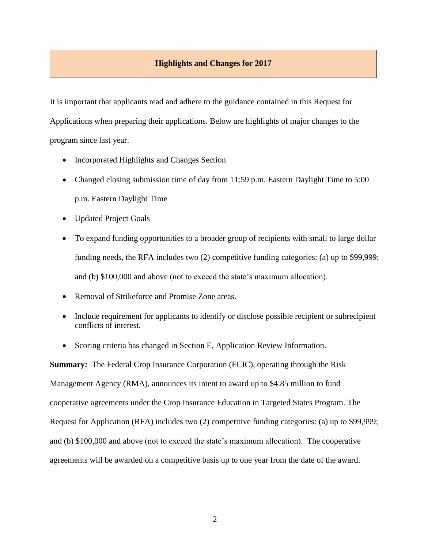# **Highlights and Changes for 2017**

It is important that applicants read and adhere to the guidance contained in this Request for Applications when preparing their applications. Below are highlights of major changes to the program since last year.

- Incorporated Highlights and Changes Section
- Changed closing submission time of day from 11:59 p.m. Eastern Daylight Time to 5:00 p.m. Eastern Daylight Time
- Updated Project Goals
- To expand funding opportunities to a broader group of recipients with small to large dollar funding needs, the RFA includes two (2) competitive funding categories: (a) up to \$99,999; and (b) \$100,000 and above (not to exceed the state's maximum allocation).
- Removal of Strikeforce and Promise Zone areas.
- Include requirement for applicants to identify or disclose possible recipient or subrecipient conflicts of interest.
- Scoring criteria has changed in Section E, Application Review Information.

**Summary:** The Federal Crop Insurance Corporation (FCIC), operating through the Risk Management Agency (RMA), announces its intent to award up to \$4.85 million to fund cooperative agreements under the Crop Insurance Education in Targeted States Program. The Request for Application (RFA) includes two (2) competitive funding categories: (a) up to \$99,999; and (b) \$100,000 and above (not to exceed the state's maximum allocation). The cooperative agreements will be awarded on a competitive basis up to one year from the date of the award.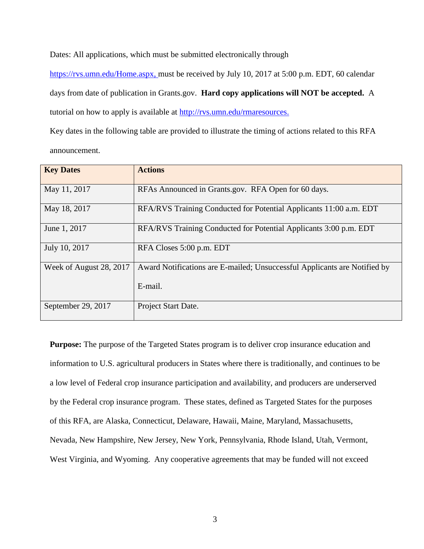Dates: All applications, which must be submitted electronically through

[https://rvs.umn.edu/Home.aspx,](https://rvs.umn.edu/Home.aspx) must be received by July 10, 2017 at 5:00 p.m. EDT, 60 calendar days from date of publication in Grants.gov.**Hard copy applications will NOT be accepted.** A tutorial on how to apply is available at [http://rvs.umn.edu/rmaresources.](http://rvs.umn.edu/rmaresources)

Key dates in the following table are provided to illustrate the timing of actions related to this RFA announcement.

| <b>Key Dates</b>        | <b>Actions</b>                                                            |
|-------------------------|---------------------------------------------------------------------------|
| May 11, 2017            | RFAs Announced in Grants.gov. RFA Open for 60 days.                       |
| May 18, 2017            | RFA/RVS Training Conducted for Potential Applicants 11:00 a.m. EDT        |
| June 1, 2017            | RFA/RVS Training Conducted for Potential Applicants 3:00 p.m. EDT         |
| July 10, 2017           | RFA Closes 5:00 p.m. EDT                                                  |
| Week of August 28, 2017 | Award Notifications are E-mailed; Unsuccessful Applicants are Notified by |
|                         | E-mail.                                                                   |
| September 29, 2017      | Project Start Date.                                                       |

**Purpose:** The purpose of the Targeted States program is to deliver crop insurance education and information to U.S. agricultural producers in States where there is traditionally, and continues to be a low level of Federal crop insurance participation and availability, and producers are underserved by the Federal crop insurance program. These states, defined as Targeted States for the purposes of this RFA, are Alaska, Connecticut, Delaware, Hawaii, Maine, Maryland, Massachusetts, Nevada, New Hampshire, New Jersey, New York, Pennsylvania, Rhode Island, Utah, Vermont, West Virginia, and Wyoming. Any cooperative agreements that may be funded will not exceed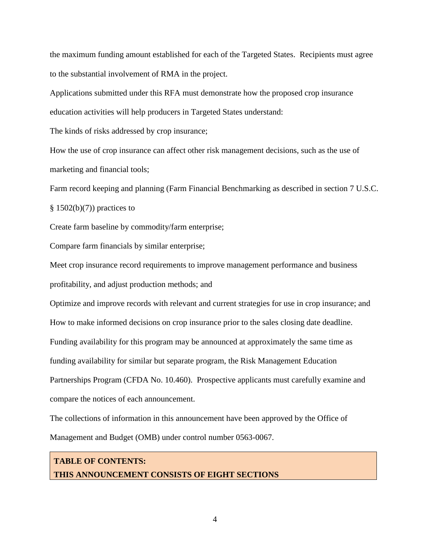the maximum funding amount established for each of the Targeted States. Recipients must agree to the substantial involvement of RMA in the project.

Applications submitted under this RFA must demonstrate how the proposed crop insurance

education activities will help producers in Targeted States understand:

The kinds of risks addressed by crop insurance;

How the use of crop insurance can affect other risk management decisions, such as the use of marketing and financial tools;

Farm record keeping and planning (Farm Financial Benchmarking as described in section 7 U.S.C.

 $§ 1502(b)(7))$  practices to

Create farm baseline by commodity/farm enterprise;

Compare farm financials by similar enterprise;

Meet crop insurance record requirements to improve management performance and business

profitability, and adjust production methods; and

Optimize and improve records with relevant and current strategies for use in crop insurance; and

How to make informed decisions on crop insurance prior to the sales closing date deadline.

Funding availability for this program may be announced at approximately the same time as

funding availability for similar but separate program, the Risk Management Education

Partnerships Program (CFDA No. 10.460). Prospective applicants must carefully examine and

compare the notices of each announcement.

The collections of information in this announcement have been approved by the Office of Management and Budget (OMB) under control number 0563-0067.

# **TABLE OF CONTENTS: THIS ANNOUNCEMENT CONSISTS OF EIGHT SECTIONS**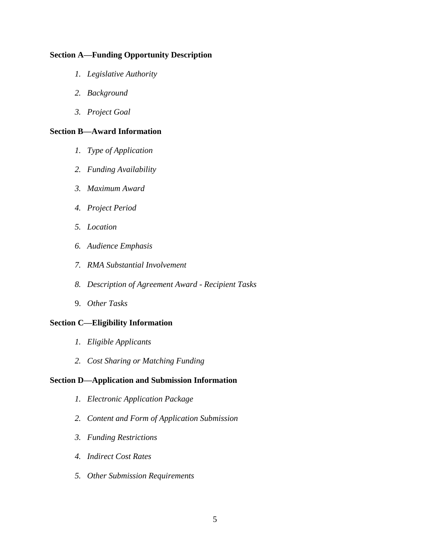# **Section A—Funding Opportunity Description**

- *1. Legislative Authority*
- *2. Background*
- *3. Project Goal*

# **Section B—Award Information**

- *1. Type of Application*
- *2. Funding Availability*
- *3. Maximum Award*
- *4. Project Period*
- *5. Location*
- *6. Audience Emphasis*
- *7. RMA Substantial Involvement*
- *8. Description of Agreement Award - Recipient Tasks*
- 9. *Other Tasks*

## **Section C—Eligibility Information**

- *1. Eligible Applicants*
- *2. Cost Sharing or Matching Funding*

# **Section D—Application and Submission Information**

- *1. Electronic Application Package*
- *2. Content and Form of Application Submission*
- *3. Funding Restrictions*
- *4. Indirect Cost Rates*
- *5. Other Submission Requirements*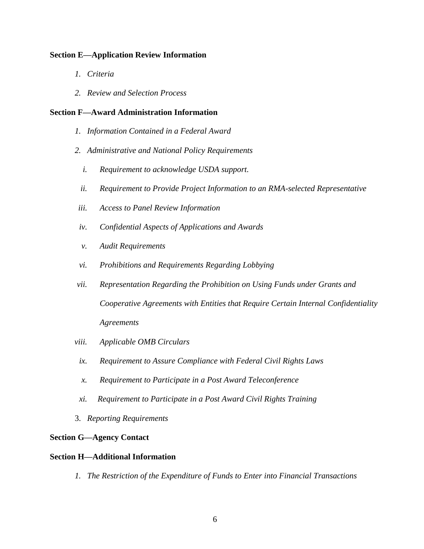# **Section E—Application Review Information**

- *1. Criteria*
- *2. Review and Selection Process*

# **Section F—Award Administration Information**

- *1. Information Contained in a Federal Award*
- *2. Administrative and National Policy Requirements*
	- *i. Requirement to acknowledge USDA support.*
	- *ii. Requirement to Provide Project Information to an RMA-selected Representative*
- *iii. Access to Panel Review Information*
- *iv. Confidential Aspects of Applications and Awards*
- *v. Audit Requirements*
- *vi. Prohibitions and Requirements Regarding Lobbying*
- *vii. Representation Regarding the Prohibition on Using Funds under Grants and Cooperative Agreements with Entities that Require Certain Internal Confidentiality Agreements*
- *viii. Applicable OMB Circulars*
- *ix. Requirement to Assure Compliance with Federal Civil Rights Laws*
- *x. Requirement to Participate in a Post Award Teleconference*
- *xi. Requirement to Participate in a Post Award Civil Rights Training*
- 3. *Reporting Requirements*

## **Section G—Agency Contact**

# **Section H—Additional Information**

*1. The Restriction of the Expenditure of Funds to Enter into Financial Transactions*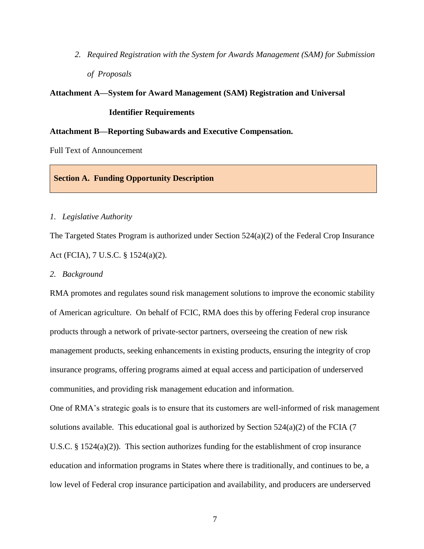*2. Required Registration with the System for Awards Management (SAM) for Submission of Proposals*

#### **Attachment A—System for Award Management (SAM) Registration and Universal**

#### **Identifier Requirements**

## **Attachment B—Reporting Subawards and Executive Compensation.**

Full Text of Announcement

## **Section A. Funding Opportunity Description**

## *1. Legislative Authority*

The Targeted States Program is authorized under Section 524(a)(2) of the Federal Crop Insurance Act (FCIA), 7 U.S.C. § 1524(a)(2).

#### *2. Background*

RMA promotes and regulates sound risk management solutions to improve the economic stability of American agriculture. On behalf of FCIC, RMA does this by offering Federal crop insurance products through a network of private-sector partners, overseeing the creation of new risk management products, seeking enhancements in existing products, ensuring the integrity of crop insurance programs, offering programs aimed at equal access and participation of underserved communities, and providing risk management education and information.

One of RMA's strategic goals is to ensure that its customers are well-informed of risk management solutions available. This educational goal is authorized by Section 524(a)(2) of the FCIA (7 U.S.C. § 1524(a)(2)). This section authorizes funding for the establishment of crop insurance education and information programs in States where there is traditionally, and continues to be, a low level of Federal crop insurance participation and availability, and producers are underserved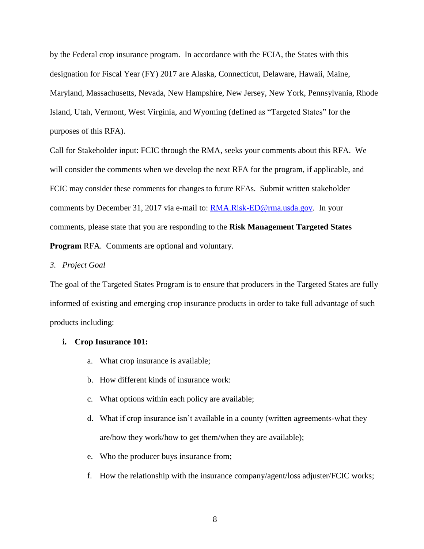by the Federal crop insurance program. In accordance with the FCIA, the States with this designation for Fiscal Year (FY) 2017 are Alaska, Connecticut, Delaware, Hawaii, Maine, Maryland, Massachusetts, Nevada, New Hampshire, New Jersey, New York, Pennsylvania, Rhode Island, Utah, Vermont, West Virginia, and Wyoming (defined as "Targeted States" for the purposes of this RFA).

Call for Stakeholder input: FCIC through the RMA, seeks your comments about this RFA. We will consider the comments when we develop the next RFA for the program, if applicable, and FCIC may consider these comments for changes to future RFAs. Submit written stakeholder comments by December 31, 2017 via e-mail to: **RMA.Risk-ED@rma.usda.gov.** In your comments, please state that you are responding to the **Risk Management Targeted States Program** RFA. Comments are optional and voluntary.

#### *3. Project Goal*

The goal of the Targeted States Program is to ensure that producers in the Targeted States are fully informed of existing and emerging crop insurance products in order to take full advantage of such products including:

#### **i. Crop Insurance 101:**

- a. What crop insurance is available;
- b. How different kinds of insurance work:
- c. What options within each policy are available;
- d. What if crop insurance isn't available in a county (written agreements-what they are/how they work/how to get them/when they are available);
- e. Who the producer buys insurance from;
- f. How the relationship with the insurance company/agent/loss adjuster/FCIC works;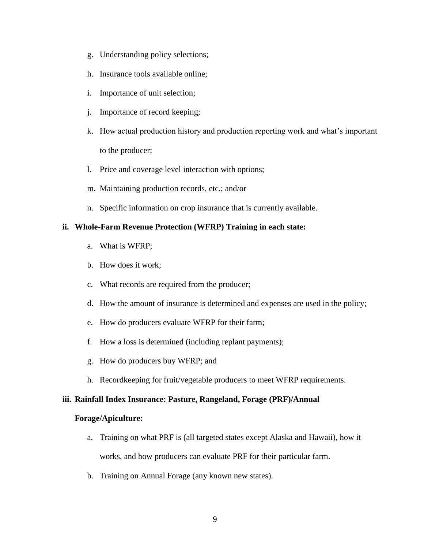- g. Understanding policy selections;
- h. Insurance tools available online;
- i. Importance of unit selection;
- j. Importance of record keeping;
- k. How actual production history and production reporting work and what's important to the producer;
- l. Price and coverage level interaction with options;
- m. Maintaining production records, etc.; and/or
- n. Specific information on crop insurance that is currently available.

# **ii. Whole-Farm Revenue Protection (WFRP) Training in each state:**

- a. What is WFRP;
- b. How does it work;
- c. What records are required from the producer;
- d. How the amount of insurance is determined and expenses are used in the policy;
- e. How do producers evaluate WFRP for their farm;
- f. How a loss is determined (including replant payments);
- g. How do producers buy WFRP; and
- h. Recordkeeping for fruit/vegetable producers to meet WFRP requirements.

# **iii. Rainfall Index Insurance: Pasture, Rangeland, Forage (PRF)/Annual**

# **Forage/Apiculture:**

- a. Training on what PRF is (all targeted states except Alaska and Hawaii), how it works, and how producers can evaluate PRF for their particular farm.
- b. Training on Annual Forage (any known new states).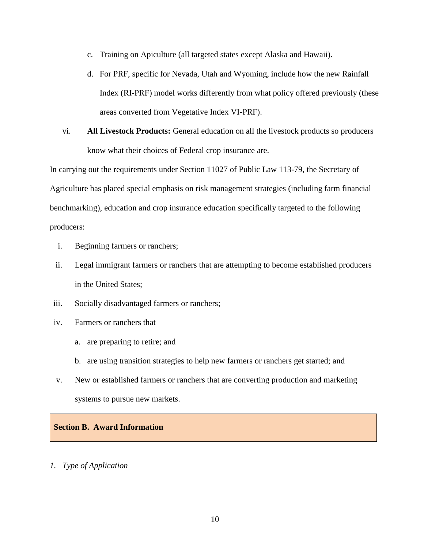- c. Training on Apiculture (all targeted states except Alaska and Hawaii).
- d. For PRF, specific for Nevada, Utah and Wyoming, include how the new Rainfall Index (RI-PRF) model works differently from what policy offered previously (these areas converted from Vegetative Index VI-PRF).
- vi. **All Livestock Products:** General education on all the livestock products so producers know what their choices of Federal crop insurance are.

In carrying out the requirements under Section 11027 of Public Law 113-79, the Secretary of Agriculture has placed special emphasis on risk management strategies (including farm financial benchmarking), education and crop insurance education specifically targeted to the following producers:

- i. Beginning farmers or ranchers;
- ii. Legal immigrant farmers or ranchers that are attempting to become established producers in the United States;
- iii. Socially disadvantaged farmers or ranchers;
- iv. Farmers or ranchers that
	- a. are preparing to retire; and
	- b. are using transition strategies to help new farmers or ranchers get started; and
- v. New or established farmers or ranchers that are converting production and marketing systems to pursue new markets.

# **Section B. Award Information**

# *1. Type of Application*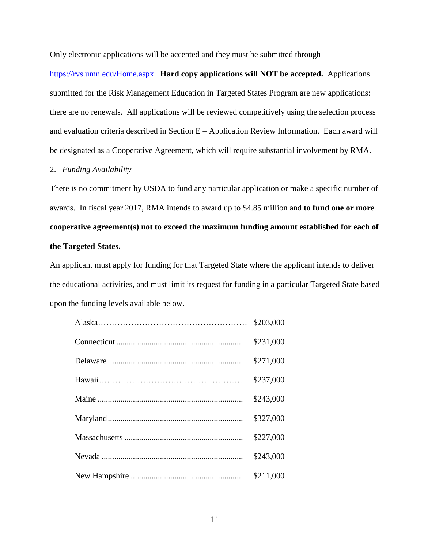Only electronic applications will be accepted and they must be submitted through

[https://rvs.umn.edu/Home.aspx.](https://rvs.umn.edu/Home.aspx)**Hard copy applications will NOT be accepted.** Applications submitted for the Risk Management Education in Targeted States Program are new applications: there are no renewals. All applications will be reviewed competitively using the selection process and evaluation criteria described in Section E – Application Review Information. Each award will be designated as a Cooperative Agreement, which will require substantial involvement by RMA.

## 2. *Funding Availability*

There is no commitment by USDA to fund any particular application or make a specific number of awards. In fiscal year 2017, RMA intends to award up to \$4.85 million and **to fund one or more cooperative agreement(s) not to exceed the maximum funding amount established for each of the Targeted States.**

An applicant must apply for funding for that Targeted State where the applicant intends to deliver the educational activities, and must limit its request for funding in a particular Targeted State based upon the funding levels available below.

| \$203,000 |
|-----------|
| \$231,000 |
| \$271,000 |
| \$237,000 |
| \$243,000 |
| \$327,000 |
| \$227,000 |
| \$243,000 |
| \$211,000 |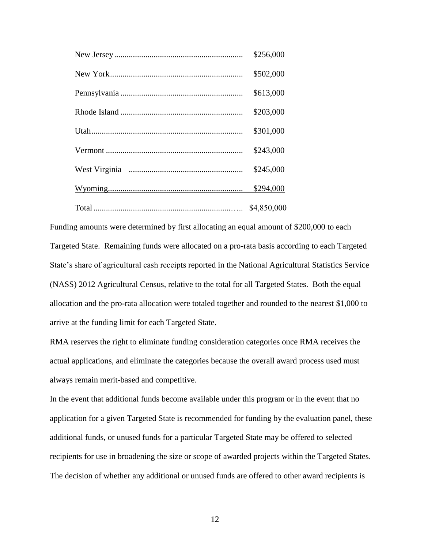| \$256,000   |
|-------------|
| \$502,000   |
| \$613,000   |
| \$203,000   |
| \$301,000   |
| \$243,000   |
| \$245,000   |
| \$294,000   |
| \$4,850,000 |

Funding amounts were determined by first allocating an equal amount of \$200,000 to each Targeted State. Remaining funds were allocated on a pro-rata basis according to each Targeted State's share of agricultural cash receipts reported in the National Agricultural Statistics Service (NASS) 2012 Agricultural Census, relative to the total for all Targeted States. Both the equal allocation and the pro-rata allocation were totaled together and rounded to the nearest \$1,000 to arrive at the funding limit for each Targeted State.

RMA reserves the right to eliminate funding consideration categories once RMA receives the actual applications, and eliminate the categories because the overall award process used must always remain merit-based and competitive.

In the event that additional funds become available under this program or in the event that no application for a given Targeted State is recommended for funding by the evaluation panel, these additional funds, or unused funds for a particular Targeted State may be offered to selected recipients for use in broadening the size or scope of awarded projects within the Targeted States. The decision of whether any additional or unused funds are offered to other award recipients is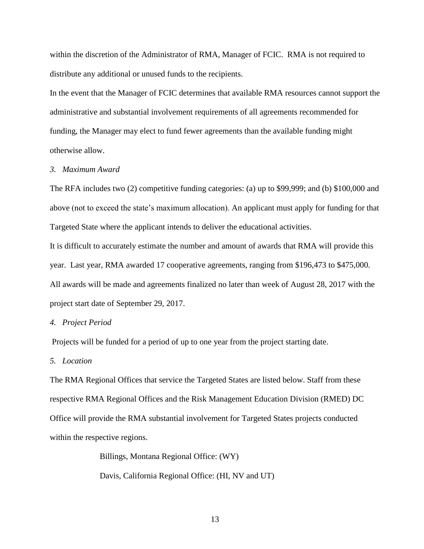within the discretion of the Administrator of RMA, Manager of FCIC. RMA is not required to distribute any additional or unused funds to the recipients.

In the event that the Manager of FCIC determines that available RMA resources cannot support the administrative and substantial involvement requirements of all agreements recommended for funding, the Manager may elect to fund fewer agreements than the available funding might otherwise allow.

#### *3. Maximum Award*

The RFA includes two (2) competitive funding categories: (a) up to \$99,999; and (b) \$100,000 and above (not to exceed the state's maximum allocation). An applicant must apply for funding for that Targeted State where the applicant intends to deliver the educational activities.

It is difficult to accurately estimate the number and amount of awards that RMA will provide this year. Last year, RMA awarded 17 cooperative agreements, ranging from \$196,473 to \$475,000. All awards will be made and agreements finalized no later than week of August 28, 2017 with the project start date of September 29, 2017.

#### *4. Project Period*

Projects will be funded for a period of up to one year from the project starting date.

#### *5. Location*

The RMA Regional Offices that service the Targeted States are listed below. Staff from these respective RMA Regional Offices and the Risk Management Education Division (RMED) DC Office will provide the RMA substantial involvement for Targeted States projects conducted within the respective regions.

> Billings, Montana Regional Office: (WY) Davis, California Regional Office: (HI, NV and UT)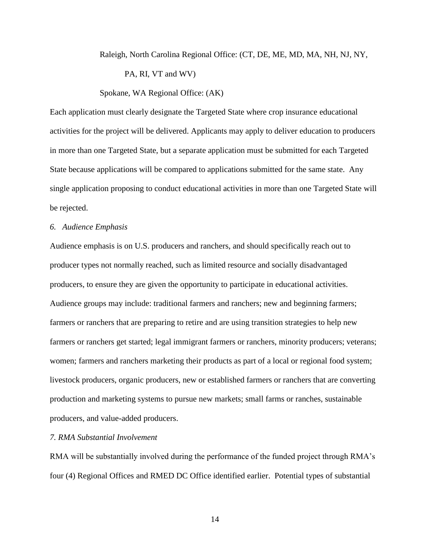# Raleigh, North Carolina Regional Office: (CT, DE, ME, MD, MA, NH, NJ, NY, PA, RI, VT and WV)

# Spokane, WA Regional Office: (AK)

Each application must clearly designate the Targeted State where crop insurance educational activities for the project will be delivered. Applicants may apply to deliver education to producers in more than one Targeted State, but a separate application must be submitted for each Targeted State because applications will be compared to applications submitted for the same state. Any single application proposing to conduct educational activities in more than one Targeted State will be rejected.

## *6. Audience Emphasis*

Audience emphasis is on U.S. producers and ranchers, and should specifically reach out to producer types not normally reached, such as limited resource and socially disadvantaged producers, to ensure they are given the opportunity to participate in educational activities. Audience groups may include: traditional farmers and ranchers; new and beginning farmers; farmers or ranchers that are preparing to retire and are using transition strategies to help new farmers or ranchers get started; legal immigrant farmers or ranchers, minority producers; veterans; women; farmers and ranchers marketing their products as part of a local or regional food system; livestock producers, organic producers, new or established farmers or ranchers that are converting production and marketing systems to pursue new markets; small farms or ranches, sustainable producers, and value-added producers.

# *7. RMA Substantial Involvement*

RMA will be substantially involved during the performance of the funded project through RMA's four (4) Regional Offices and RMED DC Office identified earlier. Potential types of substantial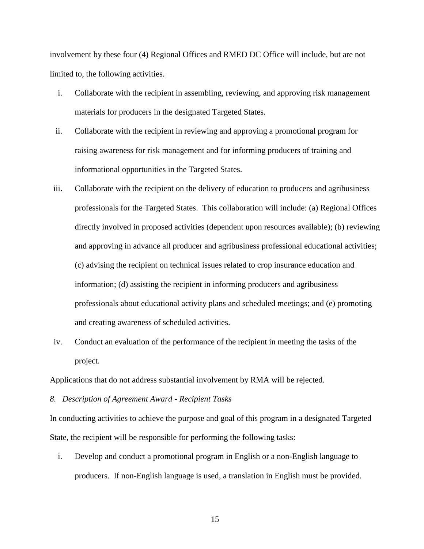involvement by these four (4) Regional Offices and RMED DC Office will include, but are not limited to, the following activities.

- i. Collaborate with the recipient in assembling, reviewing, and approving risk management materials for producers in the designated Targeted States.
- ii. Collaborate with the recipient in reviewing and approving a promotional program for raising awareness for risk management and for informing producers of training and informational opportunities in the Targeted States.
- iii. Collaborate with the recipient on the delivery of education to producers and agribusiness professionals for the Targeted States. This collaboration will include: (a) Regional Offices directly involved in proposed activities (dependent upon resources available); (b) reviewing and approving in advance all producer and agribusiness professional educational activities; (c) advising the recipient on technical issues related to crop insurance education and information; (d) assisting the recipient in informing producers and agribusiness professionals about educational activity plans and scheduled meetings; and (e) promoting and creating awareness of scheduled activities.
- iv. Conduct an evaluation of the performance of the recipient in meeting the tasks of the project.

Applications that do not address substantial involvement by RMA will be rejected.

*8. Description of Agreement Award - Recipient Tasks*

In conducting activities to achieve the purpose and goal of this program in a designated Targeted State, the recipient will be responsible for performing the following tasks:

i. Develop and conduct a promotional program in English or a non-English language to producers. If non-English language is used, a translation in English must be provided.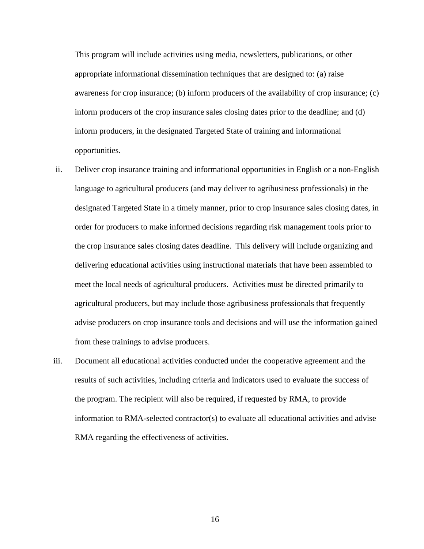This program will include activities using media, newsletters, publications, or other appropriate informational dissemination techniques that are designed to: (a) raise awareness for crop insurance; (b) inform producers of the availability of crop insurance; (c) inform producers of the crop insurance sales closing dates prior to the deadline; and (d) inform producers, in the designated Targeted State of training and informational opportunities.

- ii. Deliver crop insurance training and informational opportunities in English or a non-English language to agricultural producers (and may deliver to agribusiness professionals) in the designated Targeted State in a timely manner, prior to crop insurance sales closing dates, in order for producers to make informed decisions regarding risk management tools prior to the crop insurance sales closing dates deadline. This delivery will include organizing and delivering educational activities using instructional materials that have been assembled to meet the local needs of agricultural producers. Activities must be directed primarily to agricultural producers, but may include those agribusiness professionals that frequently advise producers on crop insurance tools and decisions and will use the information gained from these trainings to advise producers.
- iii. Document all educational activities conducted under the cooperative agreement and the results of such activities, including criteria and indicators used to evaluate the success of the program. The recipient will also be required, if requested by RMA, to provide information to RMA-selected contractor(s) to evaluate all educational activities and advise RMA regarding the effectiveness of activities.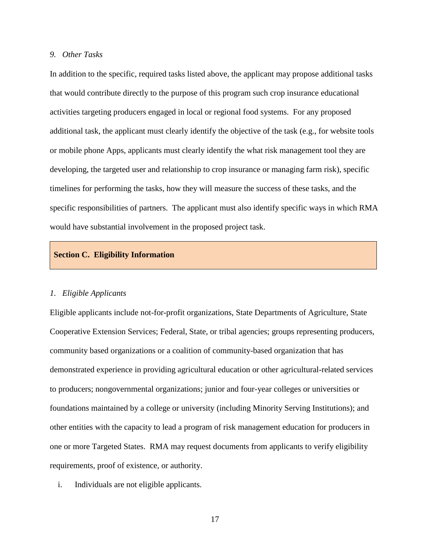# *9. Other Tasks*

In addition to the specific, required tasks listed above, the applicant may propose additional tasks that would contribute directly to the purpose of this program such crop insurance educational activities targeting producers engaged in local or regional food systems. For any proposed additional task, the applicant must clearly identify the objective of the task (e.g., for website tools or mobile phone Apps, applicants must clearly identify the what risk management tool they are developing, the targeted user and relationship to crop insurance or managing farm risk), specific timelines for performing the tasks, how they will measure the success of these tasks, and the specific responsibilities of partners. The applicant must also identify specific ways in which RMA would have substantial involvement in the proposed project task.

# **Section C. Eligibility Information**

#### *1. Eligible Applicants*

Eligible applicants include not-for-profit organizations, State Departments of Agriculture, State Cooperative Extension Services; Federal, State, or tribal agencies; groups representing producers, community based organizations or a coalition of community-based organization that has demonstrated experience in providing agricultural education or other agricultural-related services to producers; nongovernmental organizations; junior and four-year colleges or universities or foundations maintained by a college or university (including Minority Serving Institutions); and other entities with the capacity to lead a program of risk management education for producers in one or more Targeted States. RMA may request documents from applicants to verify eligibility requirements, proof of existence, or authority.

i. Individuals are not eligible applicants.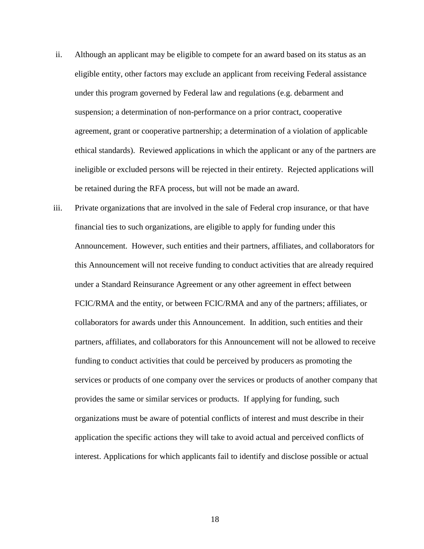- ii. Although an applicant may be eligible to compete for an award based on its status as an eligible entity, other factors may exclude an applicant from receiving Federal assistance under this program governed by Federal law and regulations (e.g. debarment and suspension; a determination of non-performance on a prior contract, cooperative agreement, grant or cooperative partnership; a determination of a violation of applicable ethical standards). Reviewed applications in which the applicant or any of the partners are ineligible or excluded persons will be rejected in their entirety. Rejected applications will be retained during the RFA process, but will not be made an award.
- iii. Private organizations that are involved in the sale of Federal crop insurance, or that have financial ties to such organizations, are eligible to apply for funding under this Announcement. However, such entities and their partners, affiliates, and collaborators for this Announcement will not receive funding to conduct activities that are already required under a Standard Reinsurance Agreement or any other agreement in effect between FCIC/RMA and the entity, or between FCIC/RMA and any of the partners; affiliates, or collaborators for awards under this Announcement. In addition, such entities and their partners, affiliates, and collaborators for this Announcement will not be allowed to receive funding to conduct activities that could be perceived by producers as promoting the services or products of one company over the services or products of another company that provides the same or similar services or products. If applying for funding, such organizations must be aware of potential conflicts of interest and must describe in their application the specific actions they will take to avoid actual and perceived conflicts of interest. Applications for which applicants fail to identify and disclose possible or actual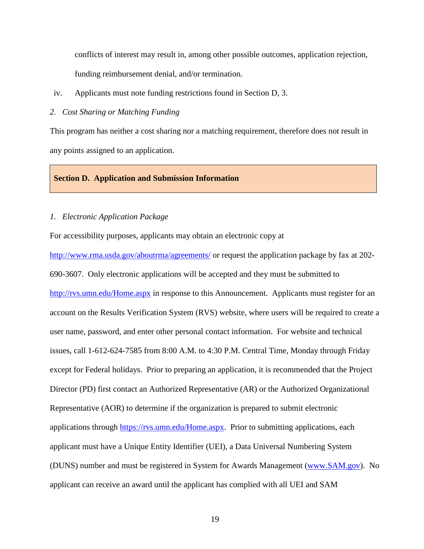conflicts of interest may result in, among other possible outcomes, application rejection, funding reimbursement denial, and/or termination.

iv. Applicants must note funding restrictions found in Section D, 3.

*2. Cost Sharing or Matching Funding*

This program has neither a cost sharing nor a matching requirement, therefore does not result in any points assigned to an application.

## **Section D. Application and Submission Information**

## *1. Electronic Application Package*

For accessibility purposes, applicants may obtain an electronic copy at

<http://www.rma.usda.gov/aboutrma/agreements/> or request the application package by fax at 202-690-3607. Only electronic applications will be accepted and they must be submitted to <http://rvs.umn.edu/Home.aspx> in response to this Announcement. Applicants must register for an account on the Results Verification System (RVS) website, where users will be required to create a user name, password, and enter other personal contact information. For website and technical issues, call 1-612-624-7585 from 8:00 A.M. to 4:30 P.M. Central Time, Monday through Friday except for Federal holidays. Prior to preparing an application, it is recommended that the Project Director (PD) first contact an Authorized Representative (AR) or the Authorized Organizational Representative (AOR) to determine if the organization is prepared to submit electronic applications through [https://rvs.umn.edu/Home.aspx.](https://rvs.umn.edu/Home.aspx) Prior to submitting applications, each applicant must have a Unique Entity Identifier (UEI), a Data Universal Numbering System (DUNS) number and must be registered in System for Awards Management [\(www.SAM.gov\)](http://www.sam.gov/). No applicant can receive an award until the applicant has complied with all UEI and SAM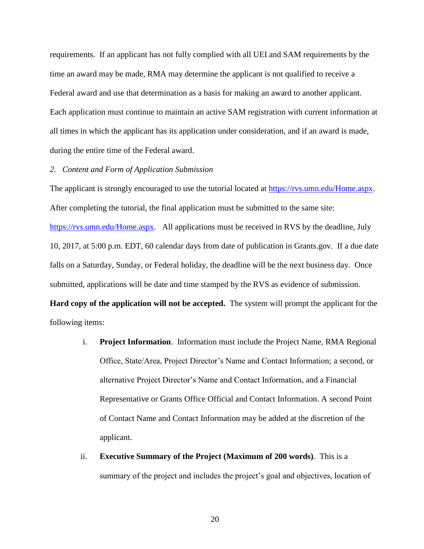requirements. If an applicant has not fully complied with all UEI and SAM requirements by the time an award may be made, RMA may determine the applicant is not qualified to receive a Federal award and use that determination as a basis for making an award to another applicant. Each application must continue to maintain an active SAM registration with current information at all times in which the applicant has its application under consideration, and if an award is made, during the entire time of the Federal award.

## *2. Content and Form of Application Submission*

The applicant is strongly encouraged to use the tutorial located at [https://rvs.umn.edu/Home.aspx.](https://rvs.umn.edu/Home.aspx) After completing the tutorial, the final application must be submitted to the same site: [https://rvs.umn.edu/Home.aspx.](https://rvs.umn.edu/Home.aspx) All applications must be received in RVS by the deadline, July 10, 2017, at 5:00 p.m. EDT, 60 calendar days from date of publication in Grants.gov. If a due date falls on a Saturday, Sunday, or Federal holiday, the deadline will be the next business day. Once submitted, applications will be date and time stamped by the RVS as evidence of submission.

**Hard copy of the application will not be accepted.** The system will prompt the applicant for the following items:

- i. **Project Information**. Information must include the Project Name, RMA Regional Office, State/Area, Project Director's Name and Contact Information; a second, or alternative Project Director's Name and Contact Information, and a Financial Representative or Grants Office Official and Contact Information. A second Point of Contact Name and Contact Information may be added at the discretion of the applicant.
- ii. **Executive Summary of the Project (Maximum of 200 words)**. This is a summary of the project and includes the project's goal and objectives, location of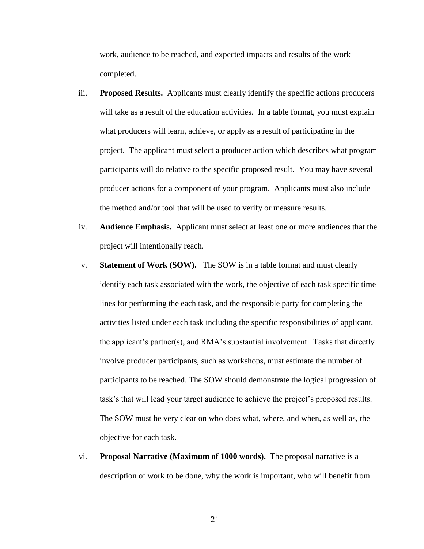work, audience to be reached, and expected impacts and results of the work completed.

- iii. **Proposed Results.** Applicants must clearly identify the specific actions producers will take as a result of the education activities. In a table format, you must explain what producers will learn, achieve, or apply as a result of participating in the project. The applicant must select a producer action which describes what program participants will do relative to the specific proposed result. You may have several producer actions for a component of your program. Applicants must also include the method and/or tool that will be used to verify or measure results.
- iv. **Audience Emphasis.** Applicant must select at least one or more audiences that the project will intentionally reach.
- v. **Statement of Work (SOW).** The SOW is in a table format and must clearly identify each task associated with the work, the objective of each task specific time lines for performing the each task, and the responsible party for completing the activities listed under each task including the specific responsibilities of applicant, the applicant's partner(s), and RMA's substantial involvement. Tasks that directly involve producer participants, such as workshops, must estimate the number of participants to be reached. The SOW should demonstrate the logical progression of task's that will lead your target audience to achieve the project's proposed results. The SOW must be very clear on who does what, where, and when, as well as, the objective for each task.
- vi. **Proposal Narrative (Maximum of 1000 words).** The proposal narrative is a description of work to be done, why the work is important, who will benefit from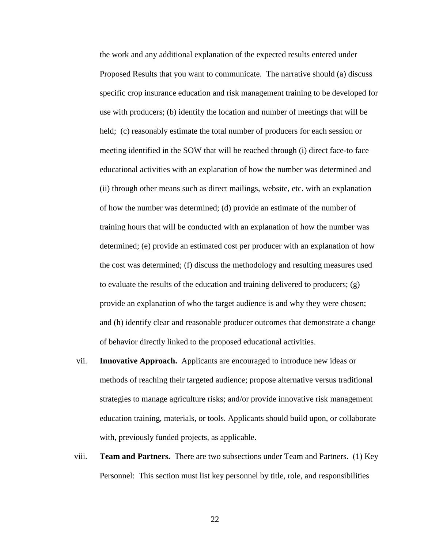the work and any additional explanation of the expected results entered under Proposed Results that you want to communicate. The narrative should (a) discuss specific crop insurance education and risk management training to be developed for use with producers; (b) identify the location and number of meetings that will be held; (c) reasonably estimate the total number of producers for each session or meeting identified in the SOW that will be reached through (i) direct face-to face educational activities with an explanation of how the number was determined and (ii) through other means such as direct mailings, website, etc. with an explanation of how the number was determined; (d) provide an estimate of the number of training hours that will be conducted with an explanation of how the number was determined; (e) provide an estimated cost per producer with an explanation of how the cost was determined; (f) discuss the methodology and resulting measures used to evaluate the results of the education and training delivered to producers;  $(g)$ provide an explanation of who the target audience is and why they were chosen; and (h) identify clear and reasonable producer outcomes that demonstrate a change of behavior directly linked to the proposed educational activities.

- vii. **Innovative Approach.** Applicants are encouraged to introduce new ideas or methods of reaching their targeted audience; propose alternative versus traditional strategies to manage agriculture risks; and/or provide innovative risk management education training, materials, or tools. Applicants should build upon, or collaborate with, previously funded projects, as applicable.
- viii. **Team and Partners.** There are two subsections under Team and Partners. (1) Key Personnel: This section must list key personnel by title, role, and responsibilities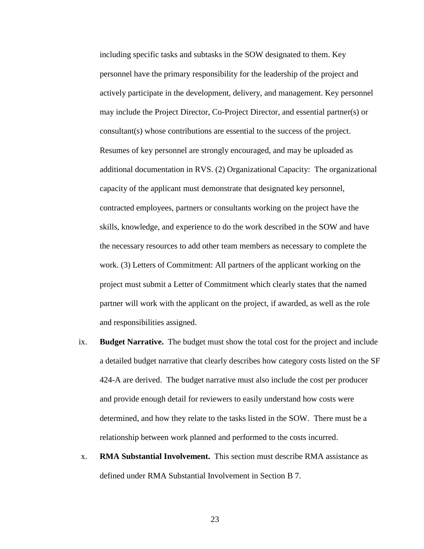including specific tasks and subtasks in the SOW designated to them. Key personnel have the primary responsibility for the leadership of the project and actively participate in the development, delivery, and management. Key personnel may include the Project Director, Co-Project Director, and essential partner(s) or consultant(s) whose contributions are essential to the success of the project. Resumes of key personnel are strongly encouraged, and may be uploaded as additional documentation in RVS. (2) Organizational Capacity: The organizational capacity of the applicant must demonstrate that designated key personnel, contracted employees, partners or consultants working on the project have the skills, knowledge, and experience to do the work described in the SOW and have the necessary resources to add other team members as necessary to complete the work. (3) Letters of Commitment: All partners of the applicant working on the project must submit a Letter of Commitment which clearly states that the named partner will work with the applicant on the project, if awarded, as well as the role and responsibilities assigned.

- ix. **Budget Narrative.** The budget must show the total cost for the project and include a detailed budget narrative that clearly describes how category costs listed on the SF 424-A are derived. The budget narrative must also include the cost per producer and provide enough detail for reviewers to easily understand how costs were determined, and how they relate to the tasks listed in the SOW. There must be a relationship between work planned and performed to the costs incurred.
- x. **RMA Substantial Involvement.** This section must describe RMA assistance as defined under RMA Substantial Involvement in Section B 7.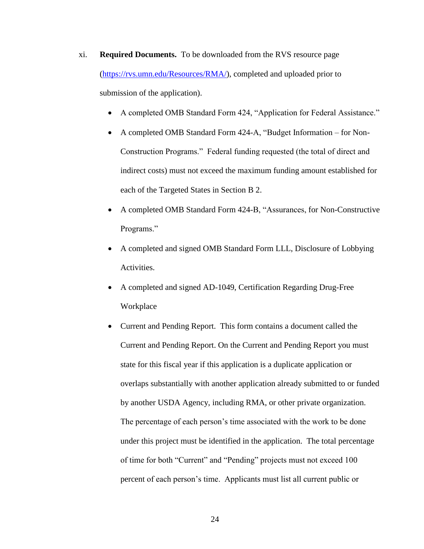- xi. **Required Documents.** To be downloaded from the RVS resource page [\(https://rvs.umn.edu/Resources/RMA/\)](https://rvs.umn.edu/Resources/RMA/), completed and uploaded prior to submission of the application).
	- A completed OMB Standard Form 424, "Application for Federal Assistance."
	- A completed OMB Standard Form 424-A, "Budget Information for Non-Construction Programs." Federal funding requested (the total of direct and indirect costs) must not exceed the maximum funding amount established for each of the Targeted States in Section B 2.
	- A completed OMB Standard Form 424-B, "Assurances, for Non-Constructive Programs."
	- A completed and signed OMB Standard Form LLL, Disclosure of Lobbying Activities.
	- A completed and signed AD-1049, Certification Regarding Drug-Free Workplace
	- Current and Pending Report. This form contains a document called the Current and Pending Report. On the Current and Pending Report you must state for this fiscal year if this application is a duplicate application or overlaps substantially with another application already submitted to or funded by another USDA Agency, including RMA, or other private organization. The percentage of each person's time associated with the work to be done under this project must be identified in the application. The total percentage of time for both "Current" and "Pending" projects must not exceed 100 percent of each person's time. Applicants must list all current public or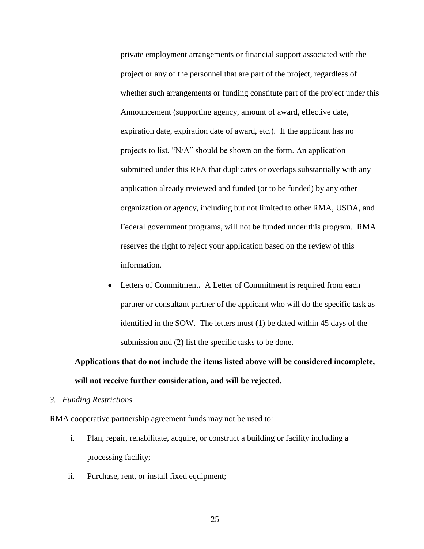private employment arrangements or financial support associated with the project or any of the personnel that are part of the project, regardless of whether such arrangements or funding constitute part of the project under this Announcement (supporting agency, amount of award, effective date, expiration date, expiration date of award, etc.). If the applicant has no projects to list, "N/A" should be shown on the form. An application submitted under this RFA that duplicates or overlaps substantially with any application already reviewed and funded (or to be funded) by any other organization or agency, including but not limited to other RMA, USDA, and Federal government programs, will not be funded under this program. RMA reserves the right to reject your application based on the review of this information.

 Letters of Commitment**.** A Letter of Commitment is required from each partner or consultant partner of the applicant who will do the specific task as identified in the SOW. The letters must (1) be dated within 45 days of the submission and (2) list the specific tasks to be done.

# **Applications that do not include the items listed above will be considered incomplete, will not receive further consideration, and will be rejected.**

*3. Funding Restrictions*

RMA cooperative partnership agreement funds may not be used to:

- i. Plan, repair, rehabilitate, acquire, or construct a building or facility including a processing facility;
- ii. Purchase, rent, or install fixed equipment;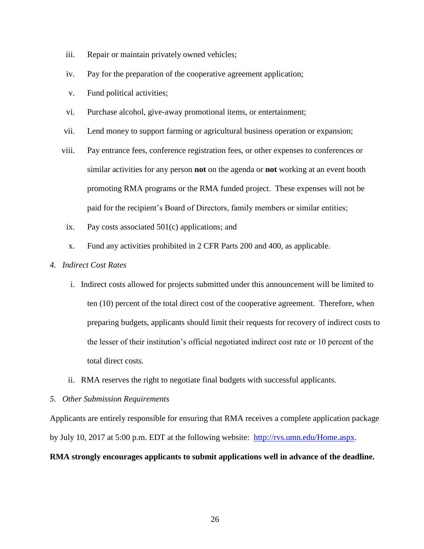- iii. Repair or maintain privately owned vehicles;
- iv. Pay for the preparation of the cooperative agreement application;
- v. Fund political activities;
- vi. Purchase alcohol, give-away promotional items, or entertainment;
- vii. Lend money to support farming or agricultural business operation or expansion;
- viii. Pay entrance fees, conference registration fees, or other expenses to conferences or similar activities for any person **not** on the agenda or **not** working at an event booth promoting RMA programs or the RMA funded project. These expenses will not be paid for the recipient's Board of Directors, family members or similar entities;
- ix. Pay costs associated 501(c) applications; and
- x. Fund any activities prohibited in 2 CFR Parts 200 and 400, as applicable.
- *4. Indirect Cost Rates*
	- i. Indirect costs allowed for projects submitted under this announcement will be limited to ten (10) percent of the total direct cost of the cooperative agreement. Therefore, when preparing budgets, applicants should limit their requests for recovery of indirect costs to the lesser of their institution's official negotiated indirect cost rate or 10 percent of the total direct costs.
	- ii. RMA reserves the right to negotiate final budgets with successful applicants.
- *5. Other Submission Requirements*

Applicants are entirely responsible for ensuring that RMA receives a complete application package by July 10, 2017 at 5:00 p.m. EDT at the following website: [http://rvs.umn.edu/Home.aspx.](http://rvs.umn.edu/Home.aspx)

# **RMA strongly encourages applicants to submit applications well in advance of the deadline.**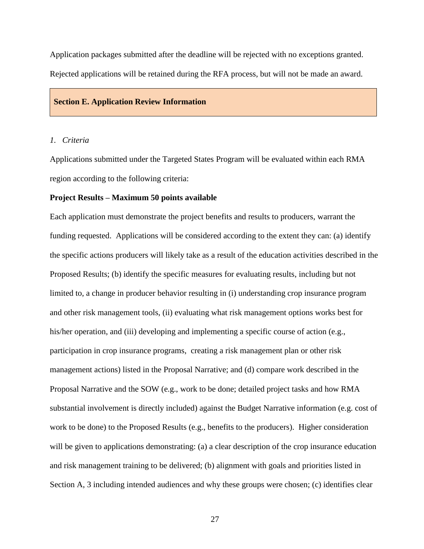Application packages submitted after the deadline will be rejected with no exceptions granted. Rejected applications will be retained during the RFA process, but will not be made an award.

#### **Section E. Application Review Information**

#### *1. Criteria*

Applications submitted under the Targeted States Program will be evaluated within each RMA region according to the following criteria:

#### **Project Results – Maximum 50 points available**

Each application must demonstrate the project benefits and results to producers, warrant the funding requested. Applications will be considered according to the extent they can: (a) identify the specific actions producers will likely take as a result of the education activities described in the Proposed Results; (b) identify the specific measures for evaluating results, including but not limited to, a change in producer behavior resulting in (i) understanding crop insurance program and other risk management tools, (ii) evaluating what risk management options works best for his/her operation, and (iii) developing and implementing a specific course of action (e.g., participation in crop insurance programs, creating a risk management plan or other risk management actions) listed in the Proposal Narrative; and (d) compare work described in the Proposal Narrative and the SOW (e.g., work to be done; detailed project tasks and how RMA substantial involvement is directly included) against the Budget Narrative information (e.g. cost of work to be done) to the Proposed Results (e.g., benefits to the producers). Higher consideration will be given to applications demonstrating: (a) a clear description of the crop insurance education and risk management training to be delivered; (b) alignment with goals and priorities listed in Section A, 3 including intended audiences and why these groups were chosen; (c) identifies clear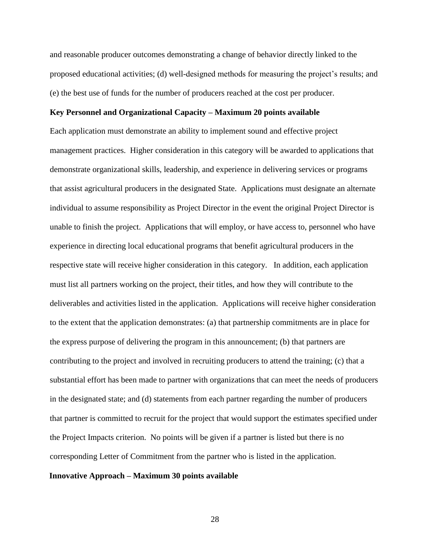and reasonable producer outcomes demonstrating a change of behavior directly linked to the proposed educational activities; (d) well-designed methods for measuring the project's results; and (e) the best use of funds for the number of producers reached at the cost per producer.

#### **Key Personnel and Organizational Capacity – Maximum 20 points available**

Each application must demonstrate an ability to implement sound and effective project management practices. Higher consideration in this category will be awarded to applications that demonstrate organizational skills, leadership, and experience in delivering services or programs that assist agricultural producers in the designated State. Applications must designate an alternate individual to assume responsibility as Project Director in the event the original Project Director is unable to finish the project. Applications that will employ, or have access to, personnel who have experience in directing local educational programs that benefit agricultural producers in the respective state will receive higher consideration in this category. In addition, each application must list all partners working on the project, their titles, and how they will contribute to the deliverables and activities listed in the application. Applications will receive higher consideration to the extent that the application demonstrates: (a) that partnership commitments are in place for the express purpose of delivering the program in this announcement; (b) that partners are contributing to the project and involved in recruiting producers to attend the training; (c) that a substantial effort has been made to partner with organizations that can meet the needs of producers in the designated state; and (d) statements from each partner regarding the number of producers that partner is committed to recruit for the project that would support the estimates specified under the Project Impacts criterion. No points will be given if a partner is listed but there is no corresponding Letter of Commitment from the partner who is listed in the application.

#### **Innovative Approach – Maximum 30 points available**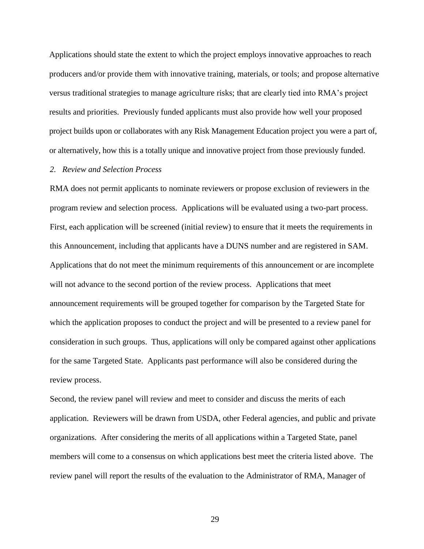Applications should state the extent to which the project employs innovative approaches to reach producers and/or provide them with innovative training, materials, or tools; and propose alternative versus traditional strategies to manage agriculture risks; that are clearly tied into RMA's project results and priorities. Previously funded applicants must also provide how well your proposed project builds upon or collaborates with any Risk Management Education project you were a part of, or alternatively, how this is a totally unique and innovative project from those previously funded.

#### *2. Review and Selection Process*

RMA does not permit applicants to nominate reviewers or propose exclusion of reviewers in the program review and selection process. Applications will be evaluated using a two-part process. First, each application will be screened (initial review) to ensure that it meets the requirements in this Announcement, including that applicants have a DUNS number and are registered in SAM. Applications that do not meet the minimum requirements of this announcement or are incomplete will not advance to the second portion of the review process. Applications that meet announcement requirements will be grouped together for comparison by the Targeted State for which the application proposes to conduct the project and will be presented to a review panel for consideration in such groups. Thus, applications will only be compared against other applications for the same Targeted State. Applicants past performance will also be considered during the review process.

Second, the review panel will review and meet to consider and discuss the merits of each application. Reviewers will be drawn from USDA, other Federal agencies, and public and private organizations. After considering the merits of all applications within a Targeted State, panel members will come to a consensus on which applications best meet the criteria listed above. The review panel will report the results of the evaluation to the Administrator of RMA, Manager of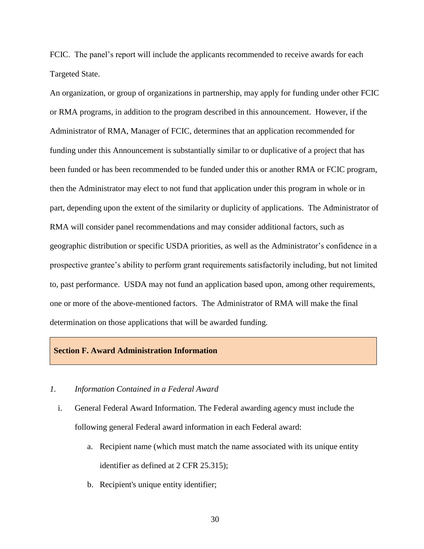FCIC. The panel's report will include the applicants recommended to receive awards for each Targeted State.

An organization, or group of organizations in partnership, may apply for funding under other FCIC or RMA programs, in addition to the program described in this announcement. However, if the Administrator of RMA, Manager of FCIC, determines that an application recommended for funding under this Announcement is substantially similar to or duplicative of a project that has been funded or has been recommended to be funded under this or another RMA or FCIC program, then the Administrator may elect to not fund that application under this program in whole or in part, depending upon the extent of the similarity or duplicity of applications. The Administrator of RMA will consider panel recommendations and may consider additional factors, such as geographic distribution or specific USDA priorities, as well as the Administrator's confidence in a prospective grantee's ability to perform grant requirements satisfactorily including, but not limited to, past performance. USDA may not fund an application based upon, among other requirements, one or more of the above-mentioned factors. The Administrator of RMA will make the final determination on those applications that will be awarded funding.

## **Section F. Award Administration Information**

# *1. Information Contained in a Federal Award*

- i. General Federal Award Information. The Federal awarding agency must include the following general Federal award information in each Federal award:
	- a. Recipient name (which must match the name associated with its unique entity identifier as defined at 2 CFR 25.315);
	- b. Recipient's unique entity identifier;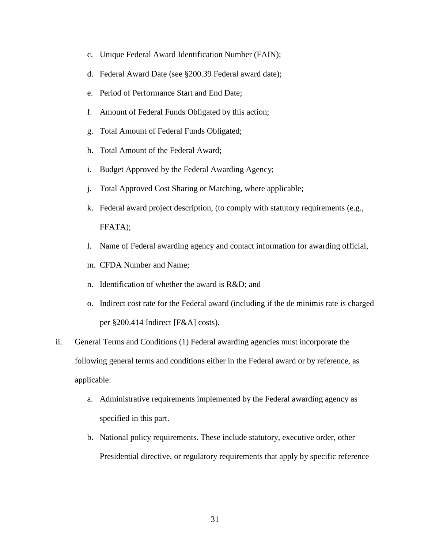- c. Unique Federal Award Identification Number (FAIN);
- d. Federal Award Date (see §200.39 Federal award date);
- e. Period of Performance Start and End Date;
- f. Amount of Federal Funds Obligated by this action;
- g. Total Amount of Federal Funds Obligated;
- h. Total Amount of the Federal Award;
- i. Budget Approved by the Federal Awarding Agency;
- j. Total Approved Cost Sharing or Matching, where applicable;
- k. Federal award project description, (to comply with statutory requirements (e.g., FFATA);
- l. Name of Federal awarding agency and contact information for awarding official,
- m. CFDA Number and Name;
- n. Identification of whether the award is R&D; and
- o. Indirect cost rate for the Federal award (including if the de minimis rate is charged per §200.414 Indirect [F&A] costs).
- ii. General Terms and Conditions (1) Federal awarding agencies must incorporate the following general terms and conditions either in the Federal award or by reference, as applicable:
	- a. Administrative requirements implemented by the Federal awarding agency as specified in this part.
	- b. National policy requirements. These include statutory, executive order, other Presidential directive, or regulatory requirements that apply by specific reference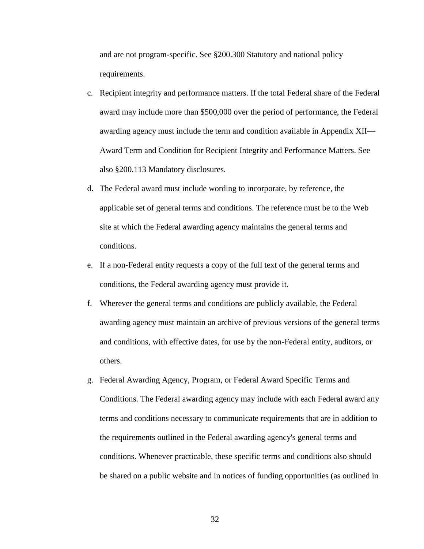and are not program-specific. See §200.300 Statutory and national policy requirements.

- c. Recipient integrity and performance matters. If the total Federal share of the Federal award may include more than \$500,000 over the period of performance, the Federal awarding agency must include the term and condition available in Appendix XII— Award Term and Condition for Recipient Integrity and Performance Matters. See also §200.113 Mandatory disclosures.
- d. The Federal award must include wording to incorporate, by reference, the applicable set of general terms and conditions. The reference must be to the Web site at which the Federal awarding agency maintains the general terms and conditions.
- e. If a non-Federal entity requests a copy of the full text of the general terms and conditions, the Federal awarding agency must provide it.
- f. Wherever the general terms and conditions are publicly available, the Federal awarding agency must maintain an archive of previous versions of the general terms and conditions, with effective dates, for use by the non-Federal entity, auditors, or others.
- g. Federal Awarding Agency, Program, or Federal Award Specific Terms and Conditions. The Federal awarding agency may include with each Federal award any terms and conditions necessary to communicate requirements that are in addition to the requirements outlined in the Federal awarding agency's general terms and conditions. Whenever practicable, these specific terms and conditions also should be shared on a public website and in notices of funding opportunities (as outlined in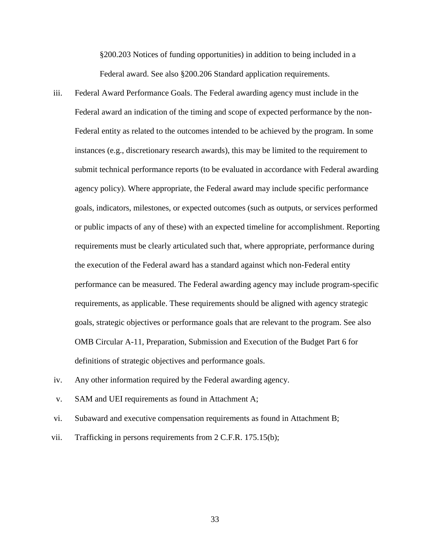§200.203 Notices of funding opportunities) in addition to being included in a Federal award. See also §200.206 Standard application requirements.

- iii. Federal Award Performance Goals. The Federal awarding agency must include in the Federal award an indication of the timing and scope of expected performance by the non-Federal entity as related to the outcomes intended to be achieved by the program. In some instances (e.g., discretionary research awards), this may be limited to the requirement to submit technical performance reports (to be evaluated in accordance with Federal awarding agency policy). Where appropriate, the Federal award may include specific performance goals, indicators, milestones, or expected outcomes (such as outputs, or services performed or public impacts of any of these) with an expected timeline for accomplishment. Reporting requirements must be clearly articulated such that, where appropriate, performance during the execution of the Federal award has a standard against which non-Federal entity performance can be measured. The Federal awarding agency may include program-specific requirements, as applicable. These requirements should be aligned with agency strategic goals, strategic objectives or performance goals that are relevant to the program. See also OMB Circular A-11, Preparation, Submission and Execution of the Budget Part 6 for definitions of strategic objectives and performance goals.
- iv. Any other information required by the Federal awarding agency.
- v. SAM and UEI requirements as found in Attachment A;
- vi. Subaward and executive compensation requirements as found in Attachment B;
- vii. Trafficking in persons requirements from 2 C.F.R. 175.15(b);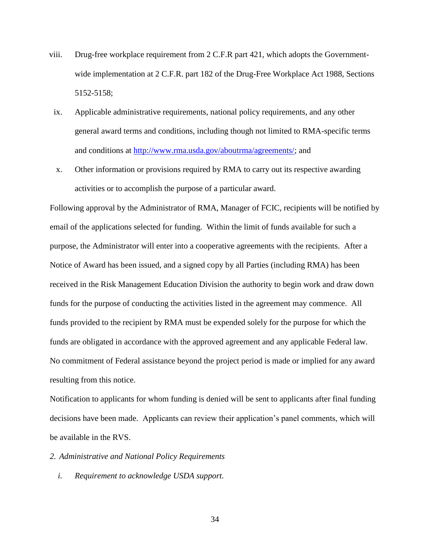- viii. Drug-free workplace requirement from 2 C.F.R part 421, which adopts the Governmentwide implementation at 2 C.F.R. part 182 of the Drug-Free Workplace Act 1988, Sections 5152-5158;
	- ix. Applicable administrative requirements, national policy requirements, and any other general award terms and conditions, including though not limited to RMA-specific terms and conditions at [http://www.rma.usda.gov/aboutrma/agreements/;](http://www.rma.usda.gov/aboutrma/agreements/) and
	- x. Other information or provisions required by RMA to carry out its respective awarding activities or to accomplish the purpose of a particular award.

Following approval by the Administrator of RMA, Manager of FCIC, recipients will be notified by email of the applications selected for funding. Within the limit of funds available for such a purpose, the Administrator will enter into a cooperative agreements with the recipients. After a Notice of Award has been issued, and a signed copy by all Parties (including RMA) has been received in the Risk Management Education Division the authority to begin work and draw down funds for the purpose of conducting the activities listed in the agreement may commence. All funds provided to the recipient by RMA must be expended solely for the purpose for which the funds are obligated in accordance with the approved agreement and any applicable Federal law. No commitment of Federal assistance beyond the project period is made or implied for any award resulting from this notice.

Notification to applicants for whom funding is denied will be sent to applicants after final funding decisions have been made. Applicants can review their application's panel comments, which will be available in the RVS.

*2. Administrative and National Policy Requirements*

*i. Requirement to acknowledge USDA support.*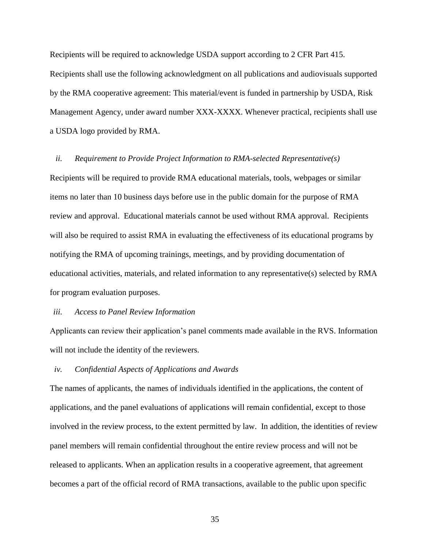Recipients will be required to acknowledge USDA support according to 2 CFR Part 415. Recipients shall use the following acknowledgment on all publications and audiovisuals supported by the RMA cooperative agreement: This material/event is funded in partnership by USDA, Risk Management Agency, under award number XXX-XXXX. Whenever practical, recipients shall use a USDA logo provided by RMA.

#### *ii. Requirement to Provide Project Information to RMA-selected Representative(s)*

Recipients will be required to provide RMA educational materials, tools, webpages or similar items no later than 10 business days before use in the public domain for the purpose of RMA review and approval. Educational materials cannot be used without RMA approval. Recipients will also be required to assist RMA in evaluating the effectiveness of its educational programs by notifying the RMA of upcoming trainings, meetings, and by providing documentation of educational activities, materials, and related information to any representative(s) selected by RMA for program evaluation purposes.

## *iii. Access to Panel Review Information*

Applicants can review their application's panel comments made available in the RVS. Information will not include the identity of the reviewers.

#### *iv. Confidential Aspects of Applications and Awards*

The names of applicants, the names of individuals identified in the applications, the content of applications, and the panel evaluations of applications will remain confidential, except to those involved in the review process, to the extent permitted by law. In addition, the identities of review panel members will remain confidential throughout the entire review process and will not be released to applicants. When an application results in a cooperative agreement, that agreement becomes a part of the official record of RMA transactions, available to the public upon specific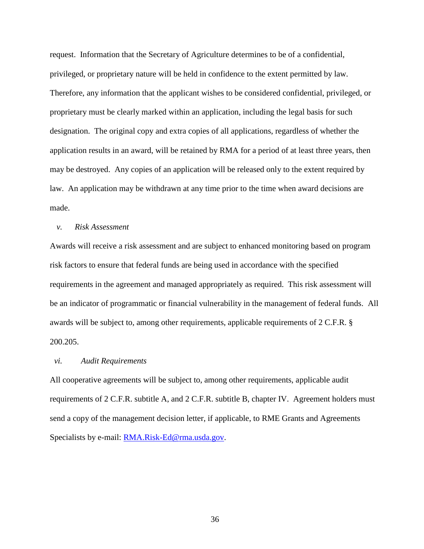request. Information that the Secretary of Agriculture determines to be of a confidential, privileged, or proprietary nature will be held in confidence to the extent permitted by law. Therefore, any information that the applicant wishes to be considered confidential, privileged, or proprietary must be clearly marked within an application, including the legal basis for such designation. The original copy and extra copies of all applications, regardless of whether the application results in an award, will be retained by RMA for a period of at least three years, then may be destroyed. Any copies of an application will be released only to the extent required by law. An application may be withdrawn at any time prior to the time when award decisions are made.

## *v. Risk Assessment*

Awards will receive a risk assessment and are subject to enhanced monitoring based on program risk factors to ensure that federal funds are being used in accordance with the specified requirements in the agreement and managed appropriately as required. This risk assessment will be an indicator of programmatic or financial vulnerability in the management of federal funds. All awards will be subject to, among other requirements, applicable requirements of 2 C.F.R. § 200.205.

#### *vi. Audit Requirements*

All cooperative agreements will be subject to, among other requirements, applicable audit requirements of 2 C.F.R. subtitle A, and 2 C.F.R. subtitle B, chapter IV. Agreement holders must send a copy of the management decision letter, if applicable, to RME Grants and Agreements Specialists by e-mail: **RMA.Risk-Ed@rma.usda.gov.**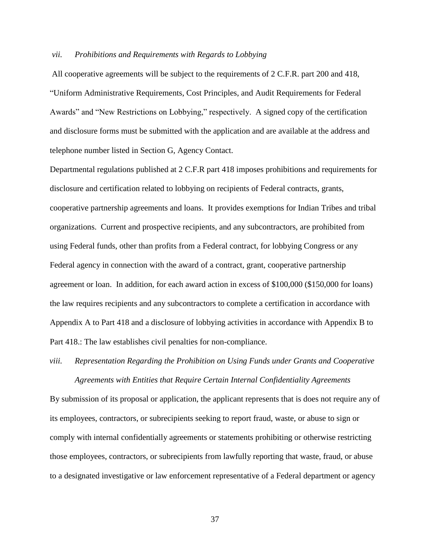#### *vii. Prohibitions and Requirements with Regards to Lobbying*

All cooperative agreements will be subject to the requirements of 2 C.F.R. part 200 and 418, "Uniform Administrative Requirements, Cost Principles, and Audit Requirements for Federal Awards" and "New Restrictions on Lobbying," respectively. A signed copy of the certification and disclosure forms must be submitted with the application and are available at the address and telephone number listed in Section G, Agency Contact.

Departmental regulations published at 2 C.F.R part 418 imposes prohibitions and requirements for disclosure and certification related to lobbying on recipients of Federal contracts, grants, cooperative partnership agreements and loans. It provides exemptions for Indian Tribes and tribal organizations. Current and prospective recipients, and any subcontractors, are prohibited from using Federal funds, other than profits from a Federal contract, for lobbying Congress or any Federal agency in connection with the award of a contract, grant, cooperative partnership agreement or loan. In addition, for each award action in excess of \$100,000 (\$150,000 for loans) the law requires recipients and any subcontractors to complete a certification in accordance with Appendix A to Part 418 and a disclosure of lobbying activities in accordance with Appendix B to Part 418.: The law establishes civil penalties for non-compliance.

# *viii. Representation Regarding the Prohibition on Using Funds under Grants and Cooperative Agreements with Entities that Require Certain Internal Confidentiality Agreements*

By submission of its proposal or application, the applicant represents that is does not require any of its employees, contractors, or subrecipients seeking to report fraud, waste, or abuse to sign or comply with internal confidentially agreements or statements prohibiting or otherwise restricting those employees, contractors, or subrecipients from lawfully reporting that waste, fraud, or abuse to a designated investigative or law enforcement representative of a Federal department or agency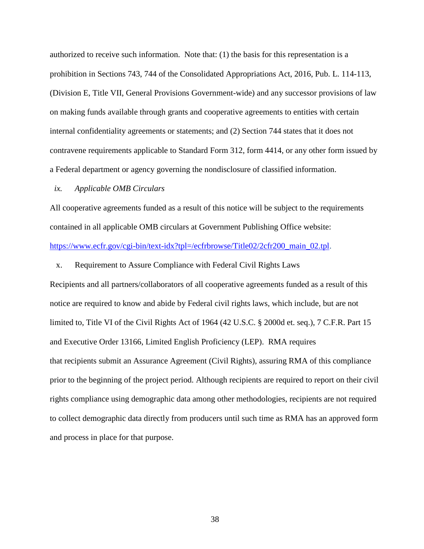authorized to receive such information. Note that: (1) the basis for this representation is a prohibition in Sections 743, 744 of the Consolidated Appropriations Act, 2016, Pub. L. 114-113, (Division E, Title VII, General Provisions Government-wide) and any successor provisions of law on making funds available through grants and cooperative agreements to entities with certain internal confidentiality agreements or statements; and (2) Section 744 states that it does not contravene requirements applicable to Standard Form 312, form 4414, or any other form issued by a Federal department or agency governing the nondisclosure of classified information.

#### *ix. Applicable OMB Circulars*

All cooperative agreements funded as a result of this notice will be subject to the requirements contained in all applicable OMB circulars at Government Publishing Office website: [https://www.ecfr.gov/cgi-bin/text-idx?tpl=/ecfrbrowse/Title02/2cfr200\\_main\\_02.tpl.](https://www.ecfr.gov/cgi-bin/text-idx?tpl=/ecfrbrowse/Title02/2cfr200_main_02.tpl)

#### x. Requirement to Assure Compliance with Federal Civil Rights Laws

Recipients and all partners/collaborators of all cooperative agreements funded as a result of this notice are required to know and abide by Federal civil rights laws, which include, but are not limited to, Title VI of the Civil Rights Act of 1964 (42 U.S.C. § 2000d et. seq.), 7 C.F.R. Part 15 and Executive Order 13166, Limited English Proficiency (LEP). RMA requires that recipients submit an Assurance Agreement (Civil Rights), assuring RMA of this compliance prior to the beginning of the project period. Although recipients are required to report on their civil rights compliance using demographic data among other methodologies, recipients are not required to collect demographic data directly from producers until such time as RMA has an approved form and process in place for that purpose.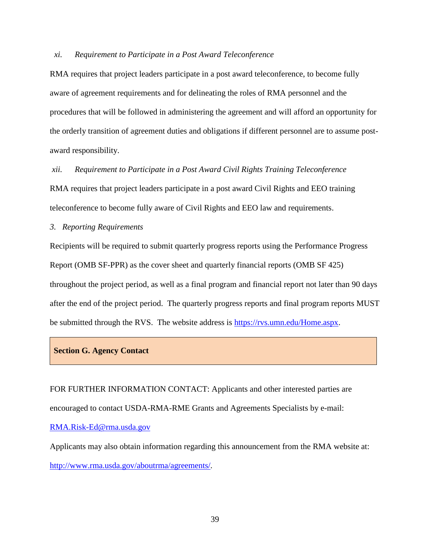#### *xi. Requirement to Participate in a Post Award Teleconference*

RMA requires that project leaders participate in a post award teleconference, to become fully aware of agreement requirements and for delineating the roles of RMA personnel and the procedures that will be followed in administering the agreement and will afford an opportunity for the orderly transition of agreement duties and obligations if different personnel are to assume postaward responsibility.

## *xii. Requirement to Participate in a Post Award Civil Rights Training Teleconference*

RMA requires that project leaders participate in a post award Civil Rights and EEO training teleconference to become fully aware of Civil Rights and EEO law and requirements.

# *3. Reporting Requirements*

Recipients will be required to submit quarterly progress reports using the Performance Progress Report (OMB SF-PPR) as the cover sheet and quarterly financial reports (OMB SF 425) throughout the project period, as well as a final program and financial report not later than 90 days after the end of the project period. The quarterly progress reports and final program reports MUST be submitted through the RVS. The website address is [https://rvs.umn.edu/Home.aspx.](https://rvs.umn.edu/Home.aspx)

## **Section G. Agency Contact**

FOR FURTHER INFORMATION CONTACT: Applicants and other interested parties are encouraged to contact USDA-RMA-RME Grants and Agreements Specialists by e-mail: [RMA.Risk-Ed@rma.usda.gov](mailto:RMA.Risk-Ed@rma.usda.gov)

Applicants may also obtain information regarding this announcement from the RMA website at: <http://www.rma.usda.gov/aboutrma/agreements/>*.*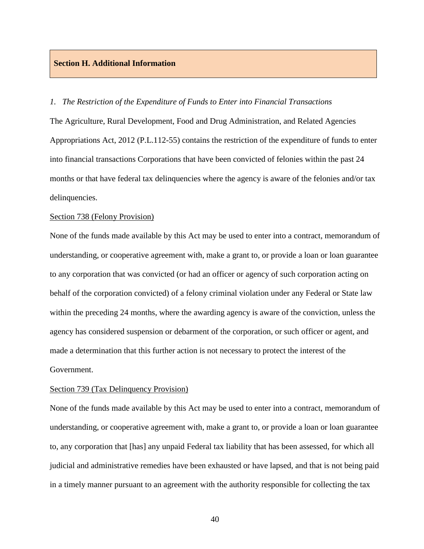## **Section H. Additional Information**

#### *1. The Restriction of the Expenditure of Funds to Enter into Financial Transactions*

The Agriculture, Rural Development, Food and Drug Administration, and Related Agencies Appropriations Act, 2012 (P.L.112-55) contains the restriction of the expenditure of funds to enter into financial transactions Corporations that have been convicted of felonies within the past 24 months or that have federal tax delinquencies where the agency is aware of the felonies and/or tax delinquencies.

## Section 738 (Felony Provision)

None of the funds made available by this Act may be used to enter into a contract, memorandum of understanding, or cooperative agreement with, make a grant to, or provide a loan or loan guarantee to any corporation that was convicted (or had an officer or agency of such corporation acting on behalf of the corporation convicted) of a felony criminal violation under any Federal or State law within the preceding 24 months, where the awarding agency is aware of the conviction, unless the agency has considered suspension or debarment of the corporation, or such officer or agent, and made a determination that this further action is not necessary to protect the interest of the Government.

#### Section 739 (Tax Delinquency Provision)

None of the funds made available by this Act may be used to enter into a contract, memorandum of understanding, or cooperative agreement with, make a grant to, or provide a loan or loan guarantee to, any corporation that [has] any unpaid Federal tax liability that has been assessed, for which all judicial and administrative remedies have been exhausted or have lapsed, and that is not being paid in a timely manner pursuant to an agreement with the authority responsible for collecting the tax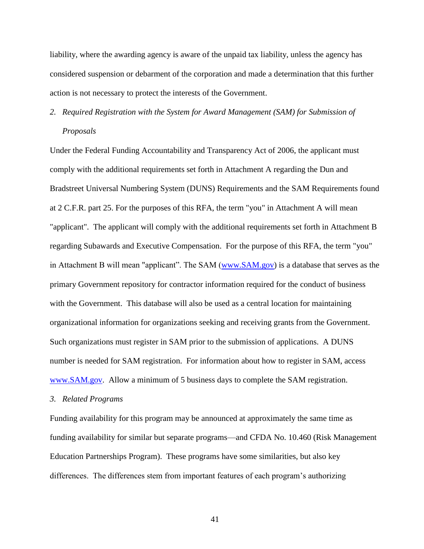liability, where the awarding agency is aware of the unpaid tax liability, unless the agency has considered suspension or debarment of the corporation and made a determination that this further action is not necessary to protect the interests of the Government.

# *2. Required Registration with the System for Award Management (SAM) for Submission of Proposals*

Under the Federal Funding Accountability and Transparency Act of 2006, the applicant must comply with the additional requirements set forth in Attachment A regarding the Dun and Bradstreet Universal Numbering System (DUNS) Requirements and the SAM Requirements found at 2 C.F.R. part 25. For the purposes of this RFA, the term "you" in Attachment A will mean "applicant". The applicant will comply with the additional requirements set forth in Attachment B regarding Subawards and Executive Compensation. For the purpose of this RFA, the term "you" in Attachment B will mean "applicant". The SAM [\(www.SAM.gov\)](http://www.sam.gov/) is a database that serves as the primary Government repository for contractor information required for the conduct of business with the Government. This database will also be used as a central location for maintaining organizational information for organizations seeking and receiving grants from the Government. Such organizations must register in SAM prior to the submission of applications. A DUNS number is needed for SAM registration. For information about how to register in SAM, access [www.SAM.gov.](http://www.sam.gov/)Allow a minimum of 5 business days to complete the SAM registration.

#### *3. Related Programs*

Funding availability for this program may be announced at approximately the same time as funding availability for similar but separate programs—and CFDA No. 10.460 (Risk Management Education Partnerships Program). These programs have some similarities, but also key differences. The differences stem from important features of each program's authorizing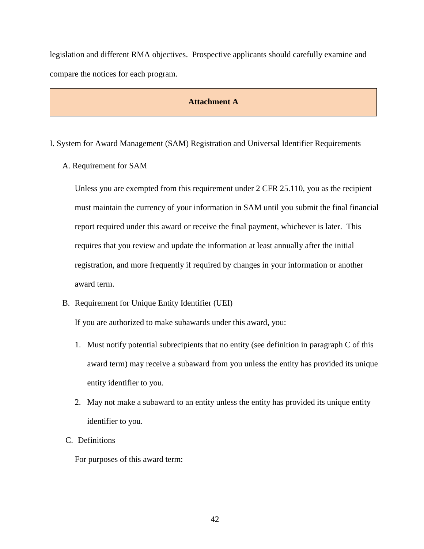legislation and different RMA objectives. Prospective applicants should carefully examine and compare the notices for each program.

# **Attachment A**

- I. System for Award Management (SAM) Registration and Universal Identifier Requirements
	- A. Requirement for SAM

Unless you are exempted from this requirement under 2 CFR 25.110, you as the recipient must maintain the currency of your information in SAM until you submit the final financial report required under this award or receive the final payment, whichever is later. This requires that you review and update the information at least annually after the initial registration, and more frequently if required by changes in your information or another award term.

B. Requirement for Unique Entity Identifier (UEI)

If you are authorized to make subawards under this award, you:

- 1. Must notify potential subrecipients that no entity (see definition in paragraph C of this award term) may receive a subaward from you unless the entity has provided its unique entity identifier to you.
- 2. May not make a subaward to an entity unless the entity has provided its unique entity identifier to you.
- C. Definitions

For purposes of this award term: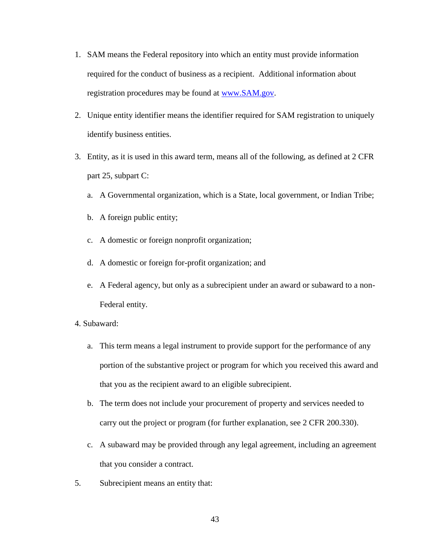- 1. SAM means the Federal repository into which an entity must provide information required for the conduct of business as a recipient. Additional information about registration procedures may be found at [www.SAM.gov.](http://www.sam.gov/)
- 2. Unique entity identifier means the identifier required for SAM registration to uniquely identify business entities.
- 3. Entity, as it is used in this award term, means all of the following, as defined at 2 CFR part 25, subpart C:
	- a. A Governmental organization, which is a State, local government, or Indian Tribe;
	- b. A foreign public entity;
	- c. A domestic or foreign nonprofit organization;
	- d. A domestic or foreign for-profit organization; and
	- e. A Federal agency, but only as a subrecipient under an award or subaward to a non-Federal entity.
- 4. Subaward:
	- a. This term means a legal instrument to provide support for the performance of any portion of the substantive project or program for which you received this award and that you as the recipient award to an eligible subrecipient.
	- b. The term does not include your procurement of property and services needed to carry out the project or program (for further explanation, see 2 CFR 200.330).
	- c. A subaward may be provided through any legal agreement, including an agreement that you consider a contract.
- 5. Subrecipient means an entity that: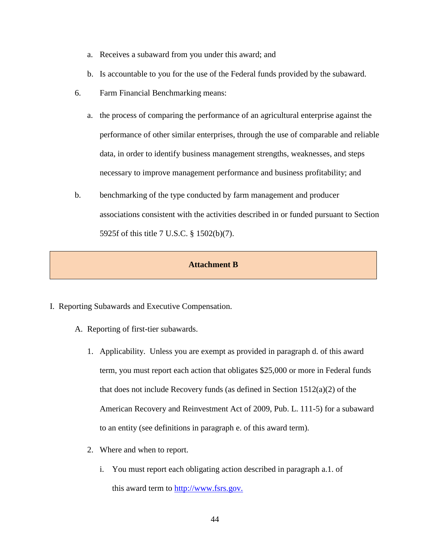- a. Receives a subaward from you under this award; and
- b. Is accountable to you for the use of the Federal funds provided by the subaward.
- 6. Farm Financial Benchmarking means:
	- a. the process of comparing the performance of an agricultural enterprise against the performance of other similar enterprises, through the use of comparable and reliable data, in order to identify business management strengths, weaknesses, and steps necessary to improve management performance and business profitability; and
- b. benchmarking of the type conducted by farm management and producer associations consistent with the activities described in or funded pursuant to Section 5925f of this title 7 U.S.C. § 1502(b)(7).

# **Attachment B**

- I. Reporting Subawards and Executive Compensation.
	- A. Reporting of first-tier subawards.
		- 1. Applicability. Unless you are exempt as provided in paragraph d. of this award term, you must report each action that obligates \$25,000 or more in Federal funds that does not include Recovery funds (as defined in Section 1512(a)(2) of the American Recovery and Reinvestment Act of 2009, Pub. L. 111-5) for a subaward to an entity (see definitions in paragraph e. of this award term).
		- 2. Where and when to report.
			- i. You must report each obligating action described in paragraph a.1. of this award term to [http://www.fsrs.gov.](http://www.fsrs.gov/)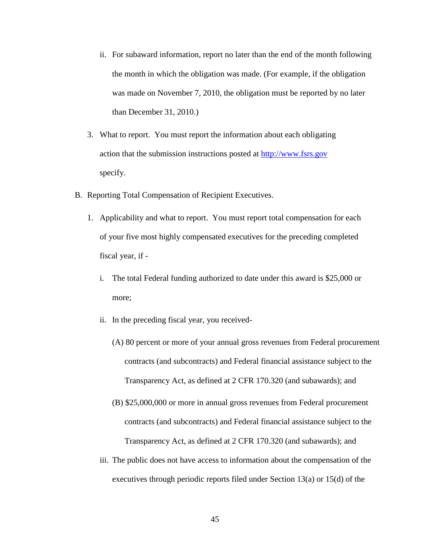- ii. For subaward information, report no later than the end of the month following the month in which the obligation was made. (For example, if the obligation was made on November 7, 2010, the obligation must be reported by no later than December 31, 2010.)
- 3. What to report. You must report the information about each obligating action that the submission instructions posted at [http://www.fsrs.gov](http://www.fsrs.gov/) specify.
- B. Reporting Total Compensation of Recipient Executives.
	- 1. Applicability and what to report. You must report total compensation for each of your five most highly compensated executives for the preceding completed fiscal year, if
		- i. The total Federal funding authorized to date under this award is \$25,000 or more;
		- ii. In the preceding fiscal year, you received-
			- (A) 80 percent or more of your annual gross revenues from Federal procurement contracts (and subcontracts) and Federal financial assistance subject to the Transparency Act, as defined at 2 CFR 170.320 (and subawards); and
			- (B) \$25,000,000 or more in annual gross revenues from Federal procurement contracts (and subcontracts) and Federal financial assistance subject to the Transparency Act, as defined at 2 CFR 170.320 (and subawards); and
		- iii. The public does not have access to information about the compensation of the executives through periodic reports filed under Section 13(a) or 15(d) of the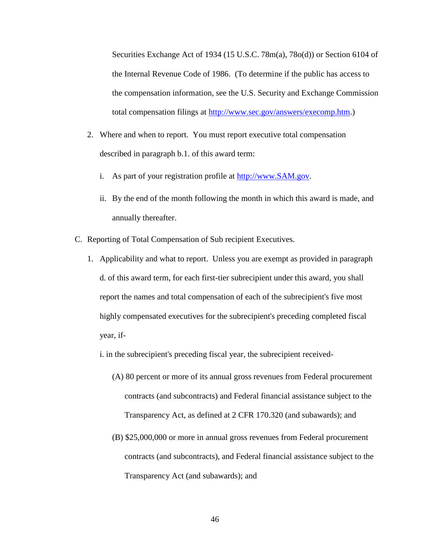Securities Exchange Act of 1934 (15 U.S.C. 78m(a), 78o(d)) or Section 6104 of the Internal Revenue Code of 1986. (To determine if the public has access to the compensation information, see the U.S. Security and Exchange Commission total compensation filings at [http://www.sec.gov/answers/execomp.htm.](http://www.sec.gov/answers/execomp.htm))

- 2. Where and when to report. You must report executive total compensation described in paragraph b.1. of this award term:
	- i. As part of your registration profile at [http://www.SAM.gov.](http://www.sam.gov/)
	- ii. By the end of the month following the month in which this award is made, and annually thereafter.
- C. Reporting of Total Compensation of Sub recipient Executives.
	- 1. Applicability and what to report. Unless you are exempt as provided in paragraph d. of this award term, for each first-tier subrecipient under this award, you shall report the names and total compensation of each of the subrecipient's five most highly compensated executives for the subrecipient's preceding completed fiscal year, if
		- i. in the subrecipient's preceding fiscal year, the subrecipient received-
			- (A) 80 percent or more of its annual gross revenues from Federal procurement contracts (and subcontracts) and Federal financial assistance subject to the Transparency Act, as defined at 2 CFR 170.320 (and subawards); and
			- (B) \$25,000,000 or more in annual gross revenues from Federal procurement contracts (and subcontracts), and Federal financial assistance subject to the Transparency Act (and subawards); and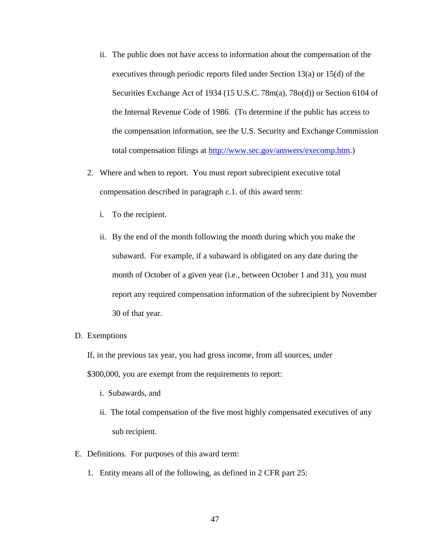- ii. The public does not have access to information about the compensation of the executives through periodic reports filed under Section 13(a) or 15(d) of the Securities Exchange Act of 1934 (15 U.S.C. 78m(a), 78o(d)) or Section 6104 of the Internal Revenue Code of 1986. (To determine if the public has access to the compensation information, see the U.S. Security and Exchange Commission total compensation filings at [http://www.sec.gov/answers/execomp.htm.](http://www.sec.gov/answers/execomp.htm))
- 2. Where and when to report. You must report subrecipient executive total compensation described in paragraph c.1. of this award term:
	- i. To the recipient.
	- ii. By the end of the month following the month during which you make the subaward. For example, if a subaward is obligated on any date during the month of October of a given year (i.e., between October 1 and 31), you must report any required compensation information of the subrecipient by November 30 of that year.
- D. Exemptions

If, in the previous tax year, you had gross income, from all sources, under

\$300,000, you are exempt from the requirements to report:

- i. Subawards, and
- ii. The total compensation of the five most highly compensated executives of any sub recipient.
- E. Definitions. For purposes of this award term:
	- 1. Entity means all of the following, as defined in 2 CFR part 25: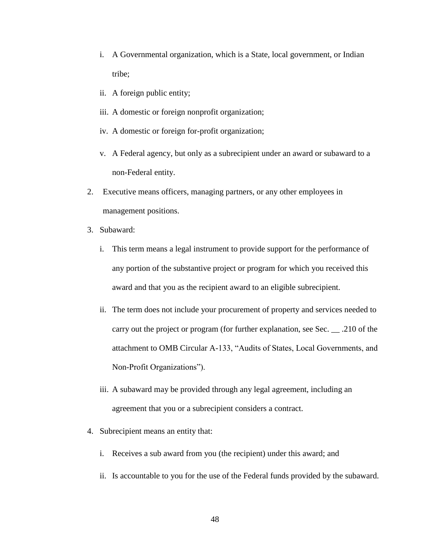- i. A Governmental organization, which is a State, local government, or Indian tribe;
- ii. A foreign public entity;
- iii. A domestic or foreign nonprofit organization;
- iv. A domestic or foreign for-profit organization;
- v. A Federal agency, but only as a subrecipient under an award or subaward to a non-Federal entity.
- 2. Executive means officers, managing partners, or any other employees in management positions.
- 3. Subaward:
	- i. This term means a legal instrument to provide support for the performance of any portion of the substantive project or program for which you received this award and that you as the recipient award to an eligible subrecipient.
	- ii. The term does not include your procurement of property and services needed to carry out the project or program (for further explanation, see Sec. \_\_ .210 of the attachment to OMB Circular A-133, "Audits of States, Local Governments, and Non-Profit Organizations").
	- iii. A subaward may be provided through any legal agreement, including an agreement that you or a subrecipient considers a contract.
- 4. Subrecipient means an entity that:
	- i. Receives a sub award from you (the recipient) under this award; and
	- ii. Is accountable to you for the use of the Federal funds provided by the subaward.